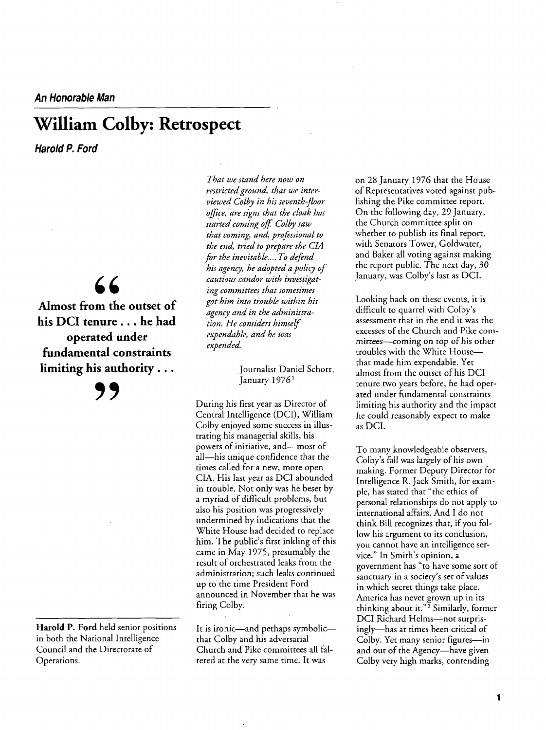**An Honorable Man** 

## **William Colby: Retrospect**

**Harold P. Ford** 

 $66$ 

**Almost from the outset of his DCI tenure. . . he had operated under fundamental constraints limiting his authority...** 

**9,** 

**Harold P. Ford held senior positions in both the National Intelligence Council and the Directorate of Operations.** 

**That we stand here now on restricted ground, that we inter viewed Colby in his seventh-floor office, are signs that the cloak has started coming off Colby saw that coming, and, professional to the end, tried to prepare the CIA for the inevitable.... To defend his** agency, he adopted a policy of **cautious candor with investigat ing committees that sometimes him into trouble within his got** agency and in the administra**tion. He considers himself expendable, and he was expended.** 

> **Journalist Daniel Schorr, January 19761**

**During his first year as Director of Central Intelligence (DCI), William Colby enjoyed some success in illus trating his managerial skills, his**  powers of initiative, and—most of all-his unique confidence that the **times called for a new, more open CIA. His last year as DCI abounded in trouble. Not only was he beset by a myriad of difficult problems, but also his position was progressively undermined by indications that the White House had decided to replace**  him. The public's first inkling of this **came in May 1975, presumably the result of orchestrated leaks from the administration; such leaks continued**  up to the time President Ford **announced in November that he was firing Colby.** 

It is ironic—and perhaps symbolic **that Colby and his adversarial Church and Pike committees all fal**  tered at the very same time. It was

**on 28 January 1976 that the House of Representatives voted against pub lishing the Pike committee report. On the following day, 29 January, the Church committee split on whether to publish its final report, with Senators Tower, Goldwater, and Baker all voting against making the report public. The next day, 30**  January, was Colby's last as DCI.

**Looking back on these events, it is**  difficult to quarrel with Colby's **assessment that in the end it was the excesses of the Church and Pike com**  mittees—coming on top of his other troubles with the White House**that made him expendable. Yet almost from the outset of his DCI**  tenure two years before, he had oper**ated under fundamental constraints limiting his authority and the impact he could reasonably expect to make as DCI.** 

**To many knowledgeable observers, Colby™s fall was largely of his own making. Former Deputy Director for Intelligence R. Jack Smith, for exam**  ple, has stated that "the ethics of **personal relationships do not apply to international affairs. And I do not think Bill recognizes that, if you follow his argument to its conclusion, you cannot have an intelligence ser**  vice." In Smith's opinion, a government has "to have some sort of sanctuary in a society's set of values **in which secret things take place.**  America has never grown up in its **thinking about it.f Similarly, former 2 DCI Richard Helms-not surpris**ingly—has at times been critical of **Colby.** Yet many senior figures—in and out of the Agency-have given **Colby very high marks, contending**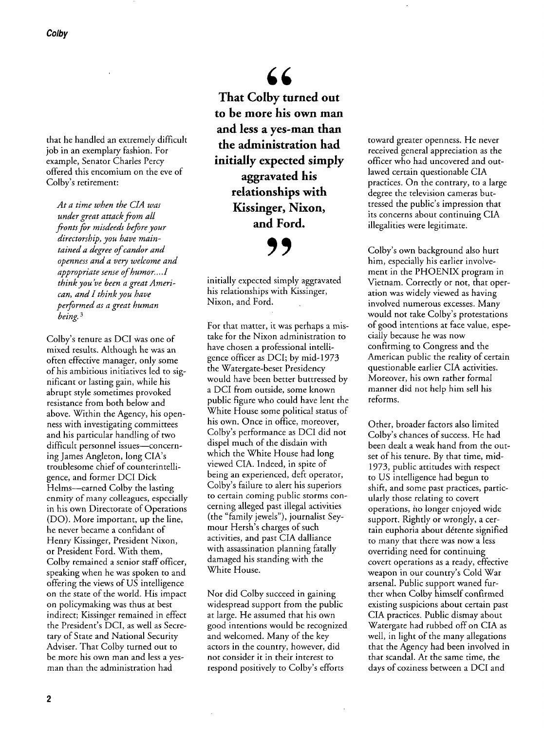**that he handled an extremely difficult job in an exemplary fashion. For example, Senator Charles Percy offered this encomium on the eve of**  Colby's retirement:

**At a time when the CIA was under attack great from all fronts for misdeeds before your**  directorship, you have maintained a degree of candor and **openness and a very welcome and** appropriate sense of humor....1 **think you™ve been agreatAmeri can, and I think you have performed as a great human being.**

**Colby™s tenure as DCI was one of mixed results. Although he was an often effective manager, only some of his ambitious initiatives led to sig nificant or lasting gain, while his abrupt style sometimes provoked resistance from both below and above. Within the Agency, his open ness with investigating committees and his particular handling of two**  difficult personnel issues—concern**ing James Angleton, long CIA™s troublesome chief of counterintelli and former DCI Dick gence,**  Helms—earned Colby the lasting **enmity of many colleagues, especially in his own Directorate of Operations (DO).** More important, up the line, **he never became a confidant of Henry Kissinger, President Nixon, or President Ford. With them, Colby remained a senior staff officer, speaking when he was spoken to and offering the views of US intelligence on the state of the world. His impact on policymaking was thus at best indirect; Kissinger remained in effect**  the President's DCI, as well as Secretary of State and National Security **Adviser. That Colby turned out to be more his own man and less a yesman than the administration had** 

66 **That Colby turned out to be more his own man**  and less a yes-man than **the administration had initially expected simply aggravated his relationships with Kissinger, Nixon, and Ford.** 

**9,** 

**initially expected simply aggravated his relationships with Kissinger, Nixon, and Ford.** 

**For that matter, it was perhaps a mis take for the Nixon administration to have chosen a professional intelli officer gence as DCI; by mid-1973 the Watergate-beset Presidency would have been better buttressed by a DCI from outside, some known public figure who could have lent the White House some political status of his own. Once in office, moreover, Colby™s performance as DCI did not dispel much of the disdain with which the White House had long viewed CIA. Indeed, in spite of being an experienced, deft operator, Colby™s failure to alert his superiors to certain coming public storms con cerning alleged past illegal activities (the ffamily jewelsf), journalist Sey mour Hersh™s charges of such**  activities, and past CIA dalliance **with assassination planning fatally damaged his standing with the White House.** 

**Nor did Colby succeed in gaining**  widespread support from the public **at large. He assumed that his own good intentions would be recognized and welcomed. Many of the key actors in the country, however, did not consider it in their interest to**  respond positively to Colby's efforts

**toward greater openness. He never received general appreciation as the officer who had uncovered and out lawed certain questionable CIA practices. On the contrary, to a large degree the television cameras but tressed the public™s impression that its concerns about continuing CIA illegalities were legitimate.** 

**Colby™s own background also hurt him, especially his earlier involve ment in the PHOENIX program in Vietnam. Correctly or not, that oper ation was widely viewed as having involved numerous excesses. Many would not take Colby™s protestations of good intentions at face value, espe cially because he was now confirming to Congress and the American public the reality of certain questionable earlier CIA activities. Moreover, his own rather formal manner did not help him sell his reforms.** 

**Other, broader factors also limited Colby™s chances of success. He had been dealt a weak hand from the out set of his tenure. By that time, mid-1973, public attitudes with respect to US intelligence had begun to shift, and some past practices, partic ularly those relating to covert operations, no longer enjoyed wide support. Rightly or wrongly, a cer**  tain euphoria about détente signified to many that there was now a less **overriding need for continuing covert operations as a ready, effective in** our country's Cold War arsenal. Public support waned fur**ther when Colby himself confirmed existing suspicions about certain past CIA practices. Public dismay about Watergate had rubbed off on CIA as well, in light of the many allegations that the Agency had been involved in that scandal. At the same time, the days of coziness between a DCI and**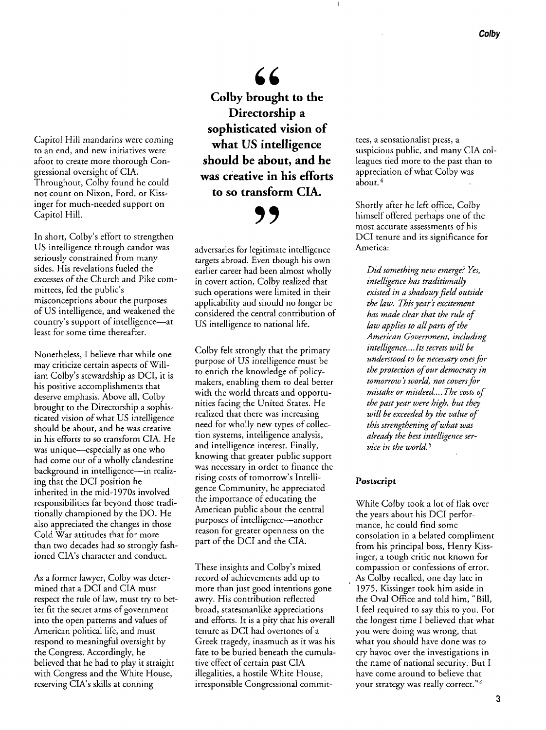**Capitol Hill mandarins were coming to an end, and new initiatives were afoot to create more thorough Con gressional oversight of CIA. Throughout, Colby found he could not count on Nixon, Ford, or Kiss inger for much-needed support on Capitol Hill.** 

In short, Colby's effort to strengthen US intelligence through candor was **seriously constrained from many sides. His revelations fueled the excesses of the Church and Pike com**  mittees, fed the public's **misconceptions about the purposes of US intelligence, and weakened the**  country's support of intelligence—at **least for some time thereafter.** 

**Nonetheless, I believe that while one**  may criticize certain aspects of William Colby's stewardship as DCI, it is **his positive accomplishments that deserve emphasis. Above all, Colby brought to the Directorship a sophis ticated vision of what US intelligence should be about, and he was creative in his efforts to so transform CIA. He**  was unique—especially as one who **had come out of a wholly clandestine**  background in intelligence-in realiz**ing that the DCI position he inherited in the mid-1970s involved responsibilities far beyond those tradi tionally championed by the DO. He also appreciated the changes in those Cold War attitudes that for more than two decades had so strongly fash ioned CIA™s character and conduct.** 

**As a former lawyer, Colby was deter mined that a DCI and CIA must**  respect the rule of law, must try to bet**ter fit the secret arms of government**  into the open patterns and values of **American political life, and must respond to meaningful oversight by the Congress. Accordingly, he believed that he had to play it straight with Congress and the White House, reserving CIA™s skills at conning** 

66 **Colby brought to the Directorship a sophisticated vision of what US intelligence should be about, and he was creative in his efforts to so transform CIA.** 

**adversaries for legitimate intelligence**  targets abroad. Even though his own **earlier career had been almost wholly in covert action, Colby realized that such operations were limited in their applicability and should no longer be considered the central contribution of US intelligence to national life.** 

**'9** 

**Colby felt strongly that the primary purpose of US intelligence must be to enrich the knowledge of policymakers, enabling them to deal better**  with the world threats and opportu**nities facing the United States. He realized that there was increasing need** for wholly new types of collec**tion systems, intelligence analysis, and intelligence interest. Finally, knowing that greater public support was in order to finance the necessary**  rising costs of *tomorrow's* Intelli**gence Community, he appreciated the importance of educating the American public about the central**  purposes of intelligence—another **reason for greater openness on the of the DCI and the CIA. part** 

These insights and Colby's mixed **record of achievements add up to more than just good intentions gone**  awry. His contribution reflected **broad, statesmanlike appreciations and efforts. It is a pity that his overall tenure as DCI had overtones of a Greek tragedy, inasmuch as it was his fate to be buried beneath the cumula tive effect of certain CIA past illegalities, a hostile White House, irresponsible Congressional commit-** **tees, a sensationalist press, a**  suspicious public, and many CIA colleagues tied more to the past than to **appreciation of what Colby was about.4** 

**Shortly after he left office, Colby himself offered perhaps one of the most accurate assessments of his DCI tenure and its significance for America:** 

**Did something new emerge? Yes, intelligence has traditionally existed in a shadowyfield outside the law. This year™s excitement has made clear that the rule of**  law applies to all parts of the **American Government, including intelligence... .Its secrets will be understood to be necessay onesfor the protection ofour democraty in**  tomorrow's world, not covers for **mistake or misdeed.... The costs of the pastyear were high, but they will be exceeded by the value of this strengthening ofwhat was already the best intelligence ser vice in the world.**

## **Postscript**

**While Colby took a lot of flak over the years about his DCI perfor mance, he could find some consolation in a belated compliment from his principal boss, Henry Kiss inger, a tough critic not known for compassion or confessions of error. As Colby recalled, one day late in 1975, Kissinger took him aside in**  the Oval Office and told him, "Bill, I feel required to say this to you. For **the longest time I believed that what**  you were doing was wrong, that what you should have done was to cry havoc over the investigations in **the name of national security. But I have come around to believe that was really correct.f your strategy <sup>6</sup>**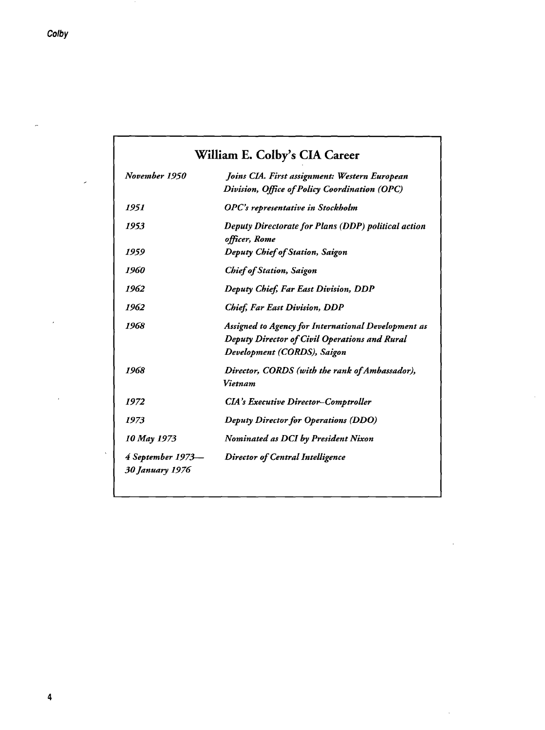| William E. Colby's CIA Career               |                                                                                                                                     |
|---------------------------------------------|-------------------------------------------------------------------------------------------------------------------------------------|
| November 1950                               | Joins CIA. First assignment: Western European<br>Division, Office of Policy Coordination (OPC)                                      |
| 1951                                        | OPC's representative in Stockholm                                                                                                   |
| 1953                                        | Deputy Directorate for Plans (DDP) political action<br>officer, Rome                                                                |
| 1959                                        | Deputy Chief of Station, Saigon                                                                                                     |
| 1960                                        | <b>Chief of Station, Saigon</b>                                                                                                     |
| 1962                                        | Deputy Chief, Far East Division, DDP                                                                                                |
| 1962                                        | <b>Chief, Far East Division, DDP</b>                                                                                                |
| 1968                                        | Assigned to Agency for International Development as<br>Deputy Director of Civil Operations and Rural<br>Development (CORDS), Saigon |
| 1968                                        | Director, CORDS (with the rank of Ambassador),<br>Vietnam                                                                           |
| 1972                                        | <b>CIA's Executive Director-Comptroller</b>                                                                                         |
| 1973                                        | <b>Deputy Director for Operations (DDO)</b>                                                                                         |
| 10 May 1973                                 | <b>Nominated as DCI by President Nixon</b>                                                                                          |
| 4 September 1973—<br><b>30 January 1976</b> | <b>Director of Central Intelligence</b>                                                                                             |